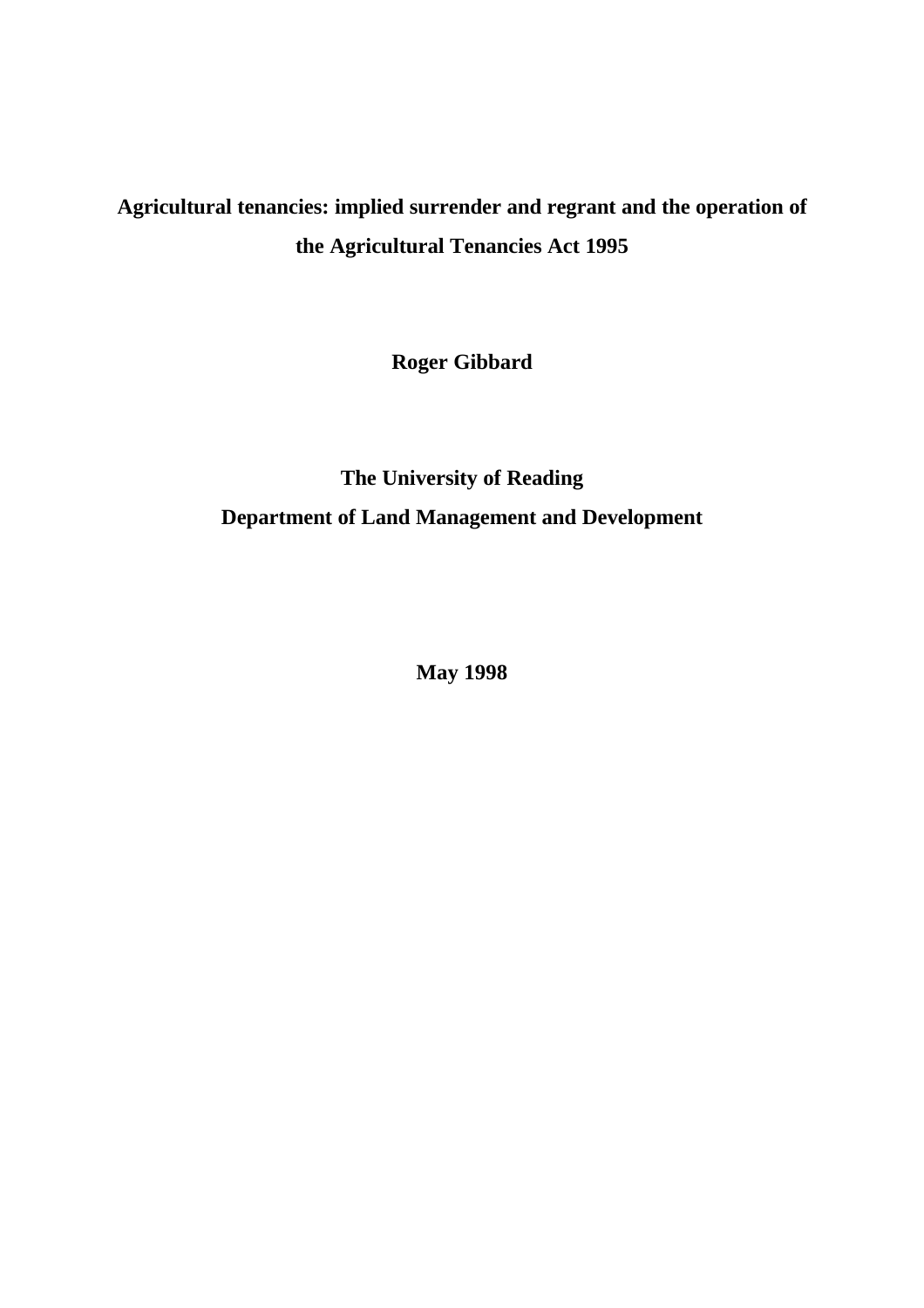# **Agricultural tenancies: implied surrender and regrant and the operation of the Agricultural Tenancies Act 1995**

**Roger Gibbard**

# **The University of Reading Department of Land Management and Development**

**May 1998**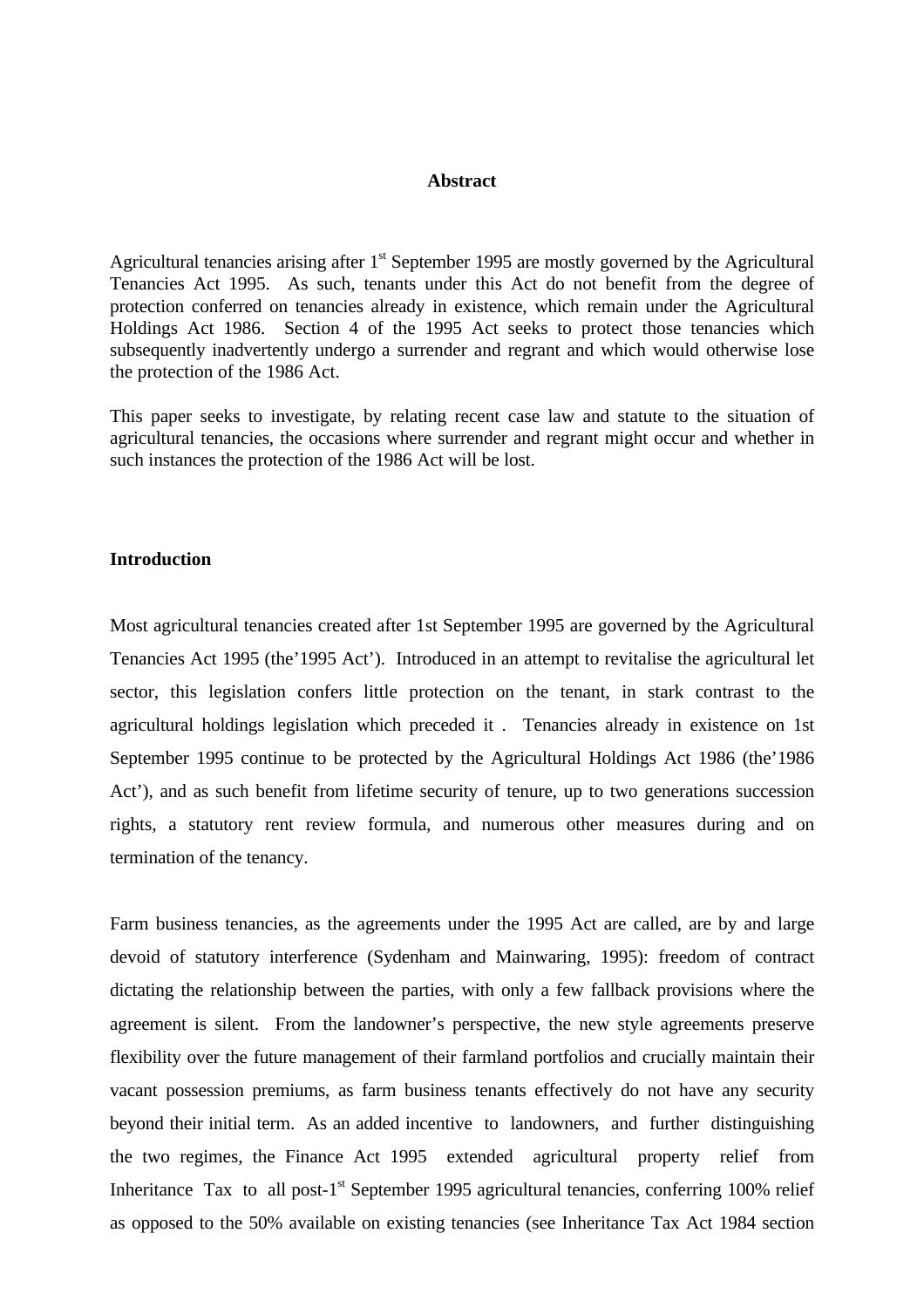## **Abstract**

Agricultural tenancies arising after  $1<sup>st</sup>$  September 1995 are mostly governed by the Agricultural Tenancies Act 1995. As such, tenants under this Act do not benefit from the degree of protection conferred on tenancies already in existence, which remain under the Agricultural Holdings Act 1986. Section 4 of the 1995 Act seeks to protect those tenancies which subsequently inadvertently undergo a surrender and regrant and which would otherwise lose the protection of the 1986 Act.

This paper seeks to investigate, by relating recent case law and statute to the situation of agricultural tenancies, the occasions where surrender and regrant might occur and whether in such instances the protection of the 1986 Act will be lost.

## **Introduction**

Most agricultural tenancies created after 1st September 1995 are governed by the Agricultural Tenancies Act 1995 (the'1995 Act'). Introduced in an attempt to revitalise the agricultural let sector, this legislation confers little protection on the tenant, in stark contrast to the agricultural holdings legislation which preceded it . Tenancies already in existence on 1st September 1995 continue to be protected by the Agricultural Holdings Act 1986 (the'1986 Act'), and as such benefit from lifetime security of tenure, up to two generations succession rights, a statutory rent review formula, and numerous other measures during and on termination of the tenancy.

Farm business tenancies, as the agreements under the 1995 Act are called, are by and large devoid of statutory interference (Sydenham and Mainwaring, 1995): freedom of contract dictating the relationship between the parties, with only a few fallback provisions where the agreement is silent. From the landowner's perspective, the new style agreements preserve flexibility over the future management of their farmland portfolios and crucially maintain their vacant possession premiums, as farm business tenants effectively do not have any security beyond their initial term. As an added incentive to landowners, and further distinguishing the two regimes, the Finance Act 1995 extended agricultural property relief from Inheritance Tax to all post-1<sup>st</sup> September 1995 agricultural tenancies, conferring 100% relief as opposed to the 50% available on existing tenancies (see Inheritance Tax Act 1984 section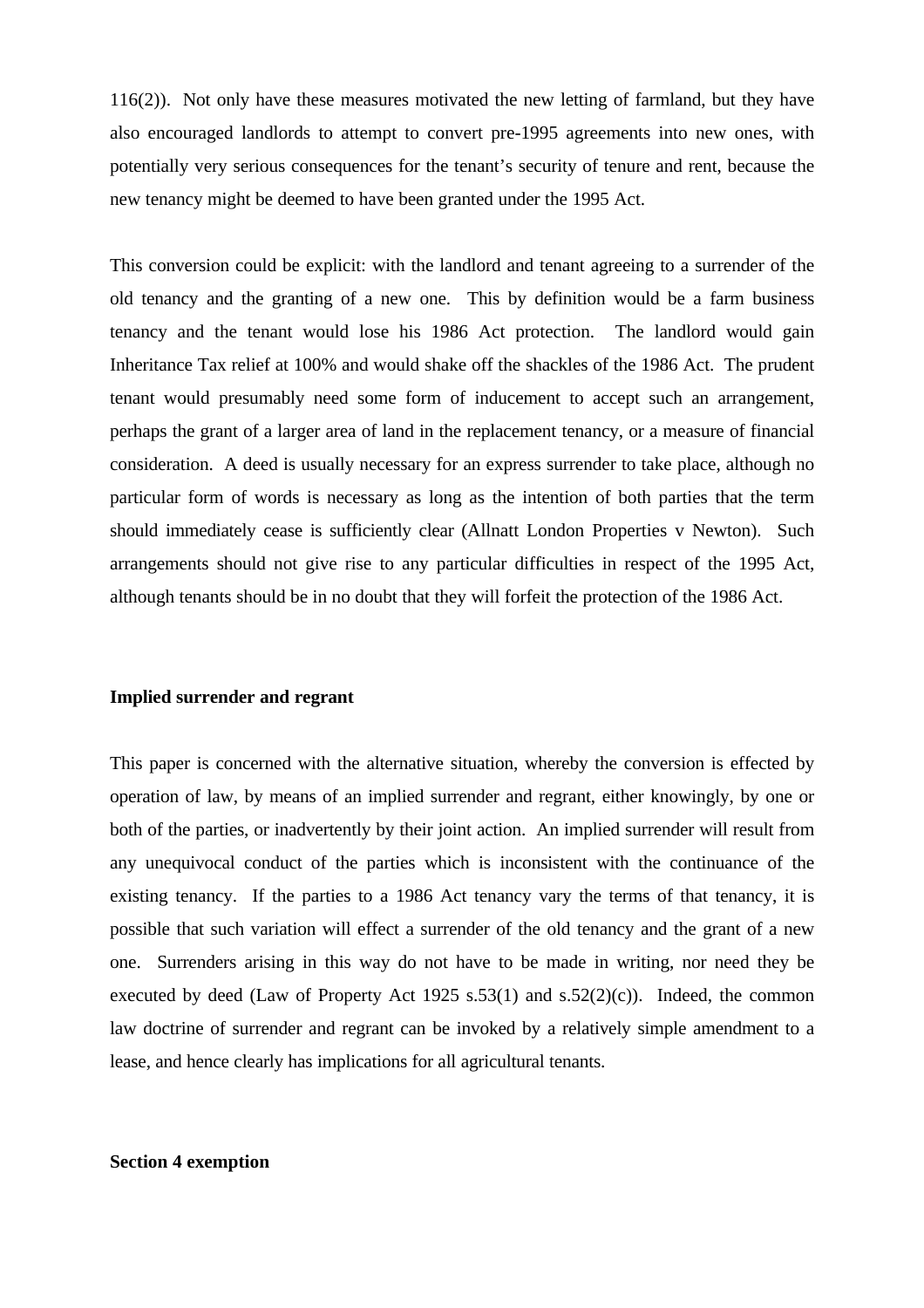116(2)). Not only have these measures motivated the new letting of farmland, but they have also encouraged landlords to attempt to convert pre-1995 agreements into new ones, with potentially very serious consequences for the tenant's security of tenure and rent, because the new tenancy might be deemed to have been granted under the 1995 Act.

This conversion could be explicit: with the landlord and tenant agreeing to a surrender of the old tenancy and the granting of a new one. This by definition would be a farm business tenancy and the tenant would lose his 1986 Act protection. The landlord would gain Inheritance Tax relief at 100% and would shake off the shackles of the 1986 Act. The prudent tenant would presumably need some form of inducement to accept such an arrangement, perhaps the grant of a larger area of land in the replacement tenancy, or a measure of financial consideration. A deed is usually necessary for an express surrender to take place, although no particular form of words is necessary as long as the intention of both parties that the term should immediately cease is sufficiently clear (Allnatt London Properties v Newton). Such arrangements should not give rise to any particular difficulties in respect of the 1995 Act, although tenants should be in no doubt that they will forfeit the protection of the 1986 Act.

#### **Implied surrender and regrant**

This paper is concerned with the alternative situation, whereby the conversion is effected by operation of law, by means of an implied surrender and regrant, either knowingly, by one or both of the parties, or inadvertently by their joint action. An implied surrender will result from any unequivocal conduct of the parties which is inconsistent with the continuance of the existing tenancy. If the parties to a 1986 Act tenancy vary the terms of that tenancy, it is possible that such variation will effect a surrender of the old tenancy and the grant of a new one. Surrenders arising in this way do not have to be made in writing, nor need they be executed by deed (Law of Property Act 1925 s.53(1) and s.52(2)(c)). Indeed, the common law doctrine of surrender and regrant can be invoked by a relatively simple amendment to a lease, and hence clearly has implications for all agricultural tenants.

#### **Section 4 exemption**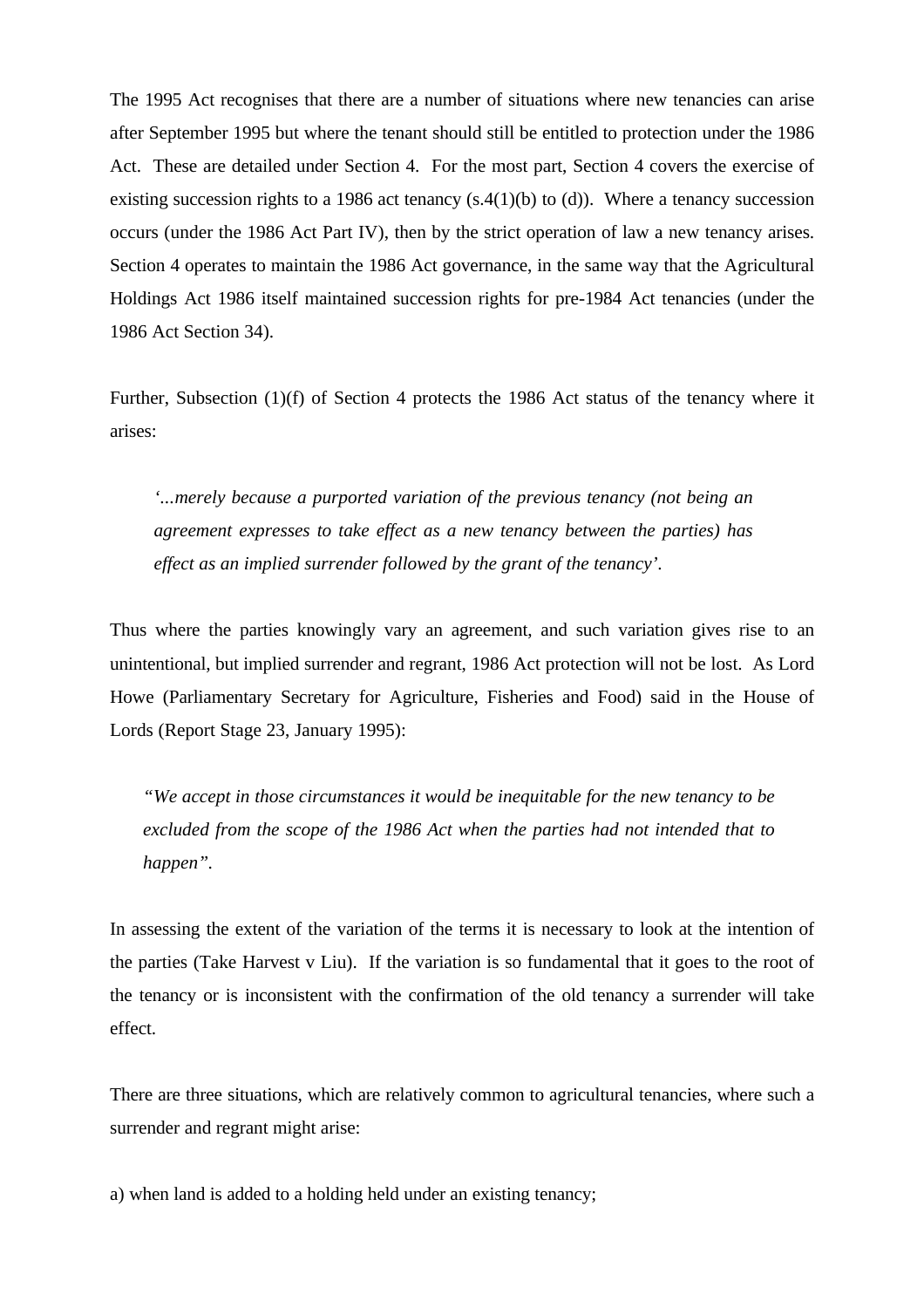The 1995 Act recognises that there are a number of situations where new tenancies can arise after September 1995 but where the tenant should still be entitled to protection under the 1986 Act. These are detailed under Section 4. For the most part, Section 4 covers the exercise of existing succession rights to a 1986 act tenancy  $(s.4(1)(b)$  to (d)). Where a tenancy succession occurs (under the 1986 Act Part IV), then by the strict operation of law a new tenancy arises. Section 4 operates to maintain the 1986 Act governance, in the same way that the Agricultural Holdings Act 1986 itself maintained succession rights for pre-1984 Act tenancies (under the 1986 Act Section 34).

Further, Subsection (1)(f) of Section 4 protects the 1986 Act status of the tenancy where it arises:

*'...merely because a purported variation of the previous tenancy (not being an agreement expresses to take effect as a new tenancy between the parties) has effect as an implied surrender followed by the grant of the tenancy'.*

Thus where the parties knowingly vary an agreement, and such variation gives rise to an unintentional, but implied surrender and regrant, 1986 Act protection will not be lost. As Lord Howe (Parliamentary Secretary for Agriculture, Fisheries and Food) said in the House of Lords (Report Stage 23, January 1995):

*"We accept in those circumstances it would be inequitable for the new tenancy to be excluded from the scope of the 1986 Act when the parties had not intended that to happen".*

In assessing the extent of the variation of the terms it is necessary to look at the intention of the parties (Take Harvest v Liu). If the variation is so fundamental that it goes to the root of the tenancy or is inconsistent with the confirmation of the old tenancy a surrender will take effect.

There are three situations, which are relatively common to agricultural tenancies, where such a surrender and regrant might arise:

a) when land is added to a holding held under an existing tenancy;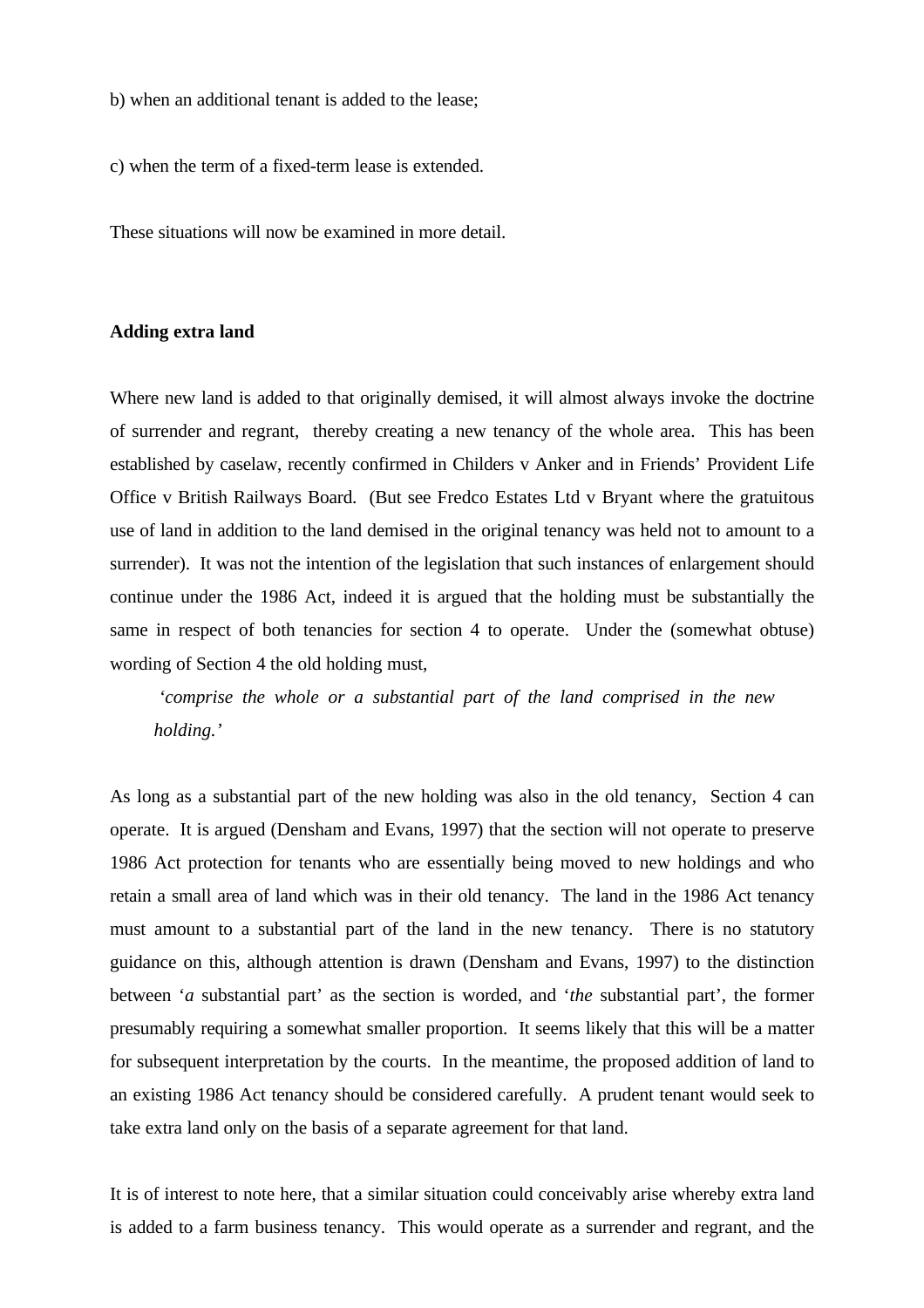b) when an additional tenant is added to the lease;

c) when the term of a fixed-term lease is extended.

These situations will now be examined in more detail.

#### **Adding extra land**

Where new land is added to that originally demised, it will almost always invoke the doctrine of surrender and regrant, thereby creating a new tenancy of the whole area. This has been established by caselaw, recently confirmed in Childers v Anker and in Friends' Provident Life Office v British Railways Board. (But see Fredco Estates Ltd v Bryant where the gratuitous use of land in addition to the land demised in the original tenancy was held not to amount to a surrender). It was not the intention of the legislation that such instances of enlargement should continue under the 1986 Act, indeed it is argued that the holding must be substantially the same in respect of both tenancies for section 4 to operate. Under the (somewhat obtuse) wording of Section 4 the old holding must,

*'comprise the whole or a substantial part of the land comprised in the new holding.'*

As long as a substantial part of the new holding was also in the old tenancy, Section 4 can operate. It is argued (Densham and Evans, 1997) that the section will not operate to preserve 1986 Act protection for tenants who are essentially being moved to new holdings and who retain a small area of land which was in their old tenancy. The land in the 1986 Act tenancy must amount to a substantial part of the land in the new tenancy. There is no statutory guidance on this, although attention is drawn (Densham and Evans, 1997) to the distinction between '*a* substantial part' as the section is worded, and '*the* substantial part', the former presumably requiring a somewhat smaller proportion. It seems likely that this will be a matter for subsequent interpretation by the courts. In the meantime, the proposed addition of land to an existing 1986 Act tenancy should be considered carefully. A prudent tenant would seek to take extra land only on the basis of a separate agreement for that land.

It is of interest to note here, that a similar situation could conceivably arise whereby extra land is added to a farm business tenancy. This would operate as a surrender and regrant, and the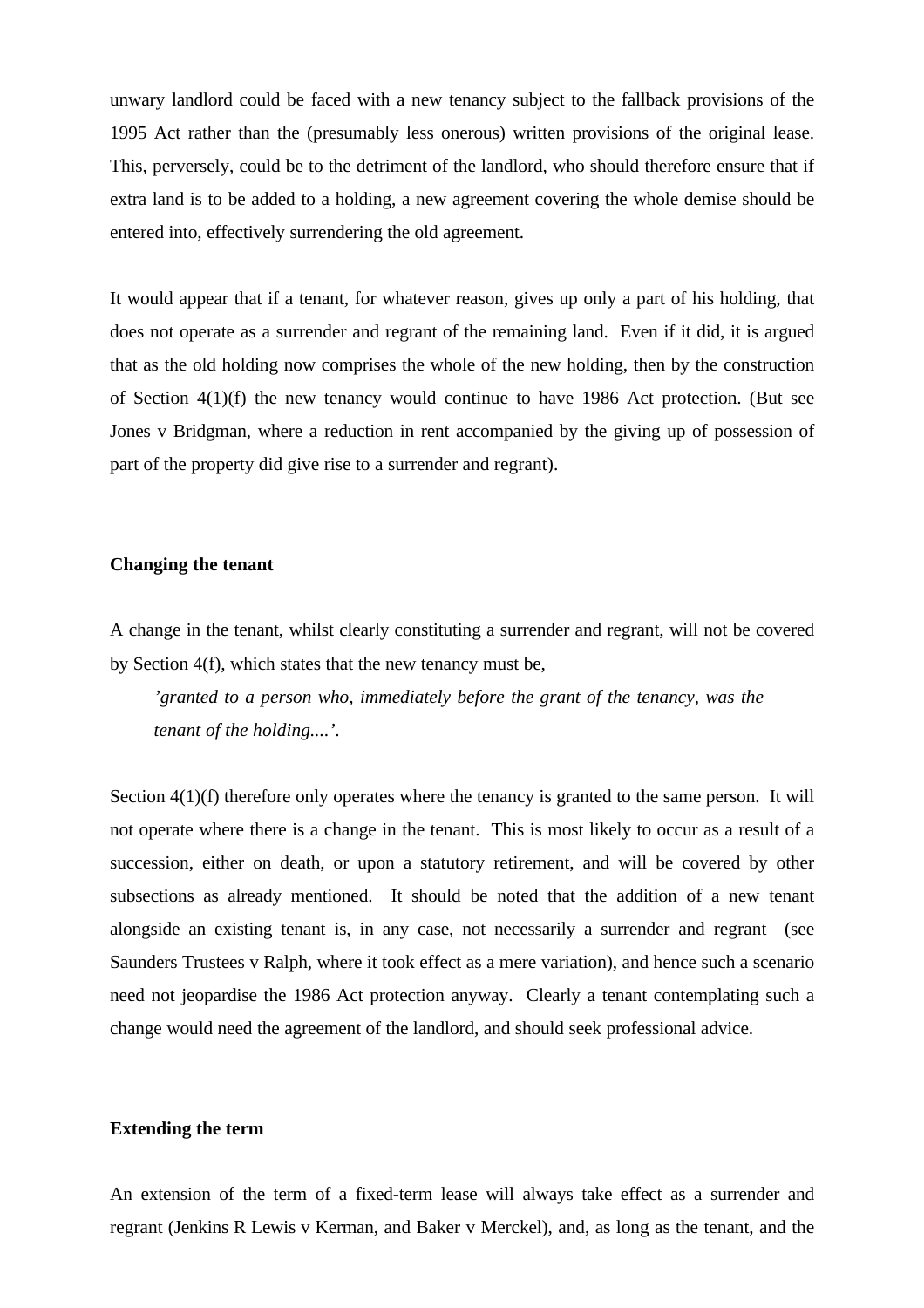unwary landlord could be faced with a new tenancy subject to the fallback provisions of the 1995 Act rather than the (presumably less onerous) written provisions of the original lease. This, perversely, could be to the detriment of the landlord, who should therefore ensure that if extra land is to be added to a holding, a new agreement covering the whole demise should be entered into, effectively surrendering the old agreement.

It would appear that if a tenant, for whatever reason, gives up only a part of his holding, that does not operate as a surrender and regrant of the remaining land. Even if it did, it is argued that as the old holding now comprises the whole of the new holding, then by the construction of Section 4(1)(f) the new tenancy would continue to have 1986 Act protection. (But see Jones v Bridgman, where a reduction in rent accompanied by the giving up of possession of part of the property did give rise to a surrender and regrant).

#### **Changing the tenant**

A change in the tenant, whilst clearly constituting a surrender and regrant, will not be covered by Section 4(f), which states that the new tenancy must be,

*'granted to a person who, immediately before the grant of the tenancy, was the tenant of the holding....'.*

Section  $4(1)(f)$  therefore only operates where the tenancy is granted to the same person. It will not operate where there is a change in the tenant. This is most likely to occur as a result of a succession, either on death, or upon a statutory retirement, and will be covered by other subsections as already mentioned. It should be noted that the addition of a new tenant alongside an existing tenant is, in any case, not necessarily a surrender and regrant (see Saunders Trustees v Ralph, where it took effect as a mere variation), and hence such a scenario need not jeopardise the 1986 Act protection anyway. Clearly a tenant contemplating such a change would need the agreement of the landlord, and should seek professional advice.

#### **Extending the term**

An extension of the term of a fixed-term lease will always take effect as a surrender and regrant (Jenkins R Lewis v Kerman, and Baker v Merckel), and, as long as the tenant, and the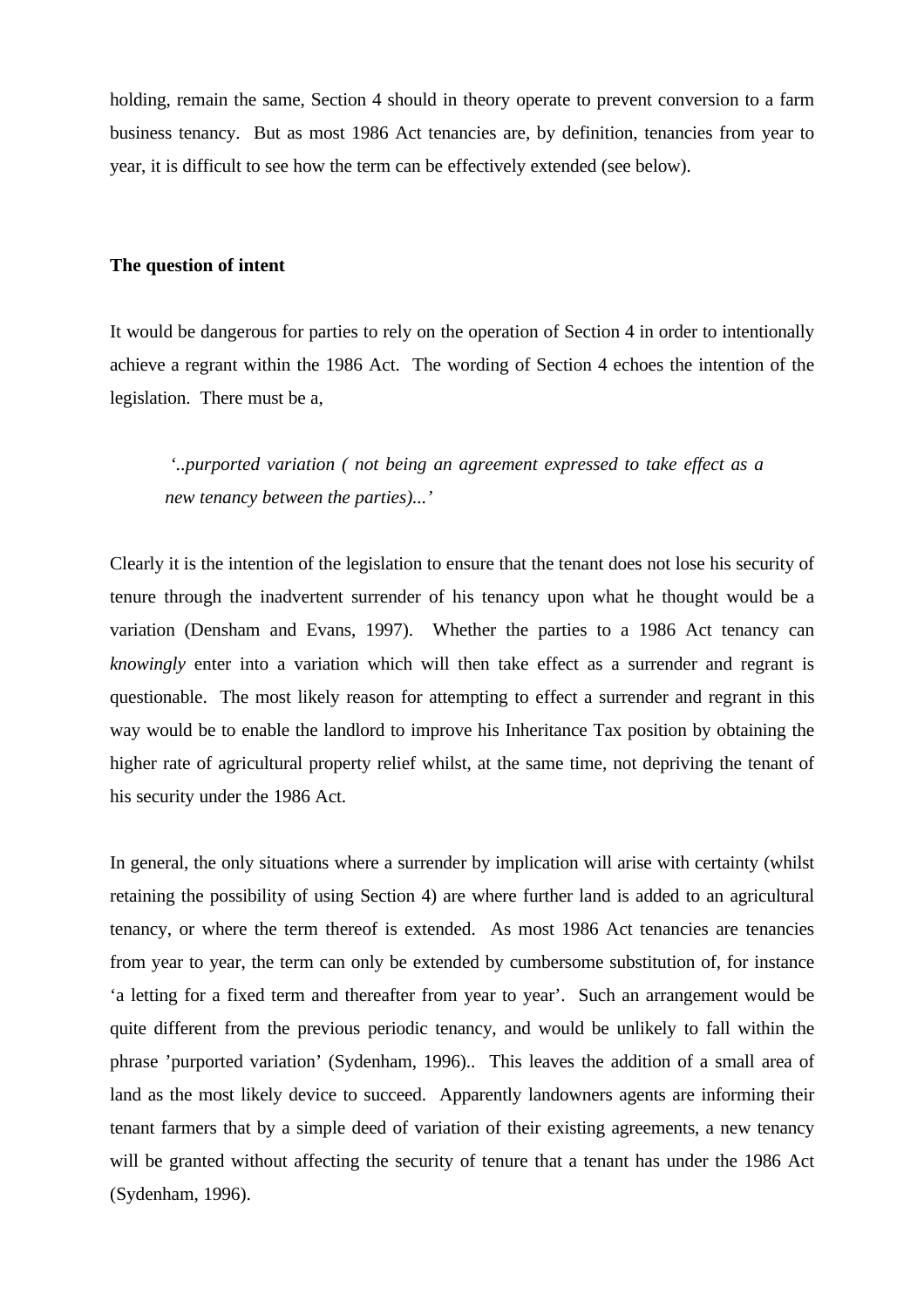holding, remain the same, Section 4 should in theory operate to prevent conversion to a farm business tenancy. But as most 1986 Act tenancies are, by definition, tenancies from year to year, it is difficult to see how the term can be effectively extended (see below).

#### **The question of intent**

It would be dangerous for parties to rely on the operation of Section 4 in order to intentionally achieve a regrant within the 1986 Act. The wording of Section 4 echoes the intention of the legislation. There must be a,

 *'..purported variation ( not being an agreement expressed to take effect as a new tenancy between the parties)...'*

Clearly it is the intention of the legislation to ensure that the tenant does not lose his security of tenure through the inadvertent surrender of his tenancy upon what he thought would be a variation (Densham and Evans, 1997). Whether the parties to a 1986 Act tenancy can *knowingly* enter into a variation which will then take effect as a surrender and regrant is questionable. The most likely reason for attempting to effect a surrender and regrant in this way would be to enable the landlord to improve his Inheritance Tax position by obtaining the higher rate of agricultural property relief whilst, at the same time, not depriving the tenant of his security under the 1986 Act.

In general, the only situations where a surrender by implication will arise with certainty (whilst retaining the possibility of using Section 4) are where further land is added to an agricultural tenancy, or where the term thereof is extended. As most 1986 Act tenancies are tenancies from year to year, the term can only be extended by cumbersome substitution of, for instance 'a letting for a fixed term and thereafter from year to year'. Such an arrangement would be quite different from the previous periodic tenancy, and would be unlikely to fall within the phrase 'purported variation' (Sydenham, 1996).. This leaves the addition of a small area of land as the most likely device to succeed. Apparently landowners agents are informing their tenant farmers that by a simple deed of variation of their existing agreements, a new tenancy will be granted without affecting the security of tenure that a tenant has under the 1986 Act (Sydenham, 1996).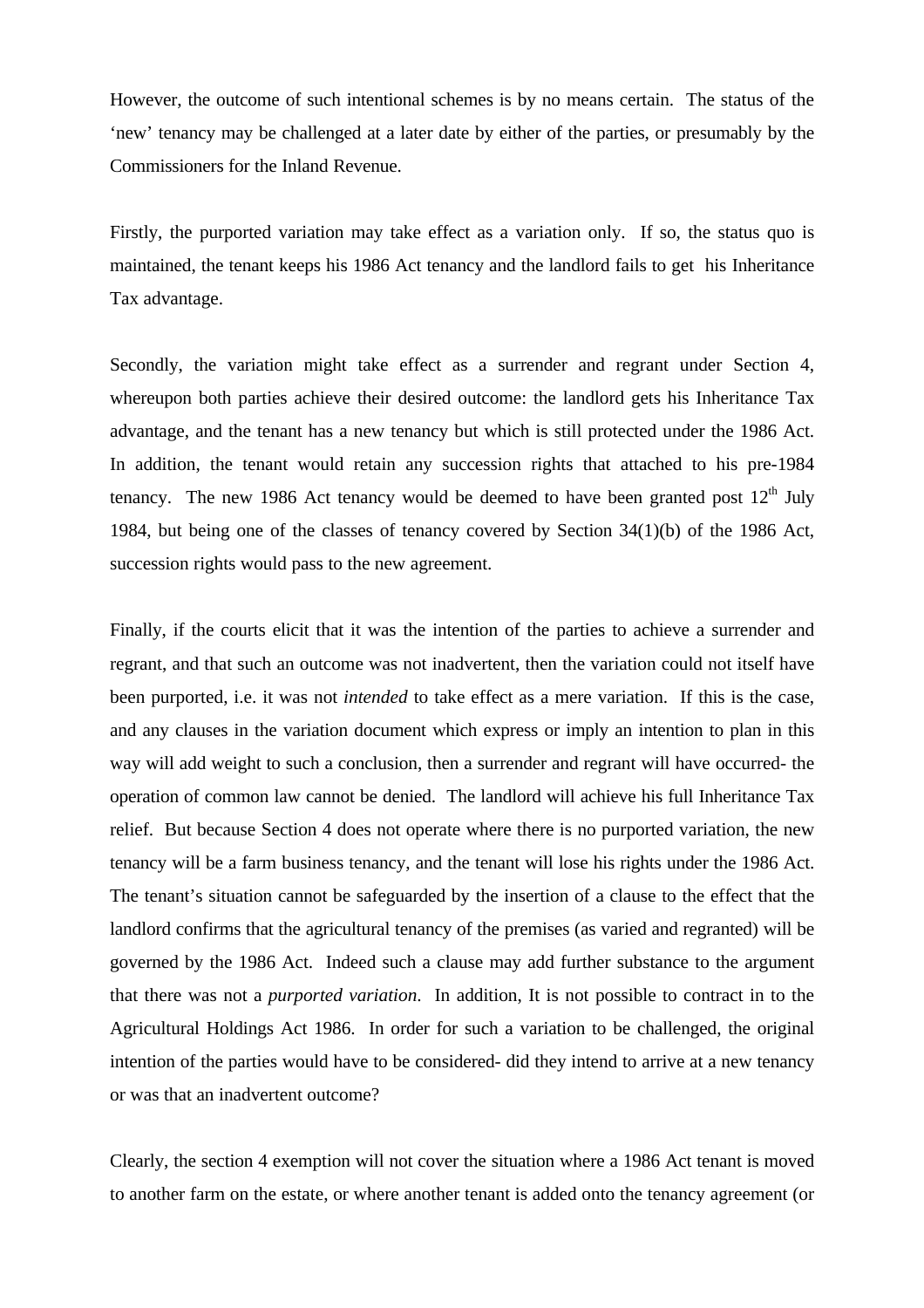However, the outcome of such intentional schemes is by no means certain. The status of the 'new' tenancy may be challenged at a later date by either of the parties, or presumably by the Commissioners for the Inland Revenue.

Firstly, the purported variation may take effect as a variation only. If so, the status quo is maintained, the tenant keeps his 1986 Act tenancy and the landlord fails to get his Inheritance Tax advantage.

Secondly, the variation might take effect as a surrender and regrant under Section 4, whereupon both parties achieve their desired outcome: the landlord gets his Inheritance Tax advantage, and the tenant has a new tenancy but which is still protected under the 1986 Act. In addition, the tenant would retain any succession rights that attached to his pre-1984 tenancy. The new 1986 Act tenancy would be deemed to have been granted post  $12<sup>th</sup>$  July 1984, but being one of the classes of tenancy covered by Section 34(1)(b) of the 1986 Act, succession rights would pass to the new agreement.

Finally, if the courts elicit that it was the intention of the parties to achieve a surrender and regrant, and that such an outcome was not inadvertent, then the variation could not itself have been purported, i.e. it was not *intended* to take effect as a mere variation. If this is the case, and any clauses in the variation document which express or imply an intention to plan in this way will add weight to such a conclusion, then a surrender and regrant will have occurred- the operation of common law cannot be denied. The landlord will achieve his full Inheritance Tax relief. But because Section 4 does not operate where there is no purported variation, the new tenancy will be a farm business tenancy, and the tenant will lose his rights under the 1986 Act. The tenant's situation cannot be safeguarded by the insertion of a clause to the effect that the landlord confirms that the agricultural tenancy of the premises (as varied and regranted) will be governed by the 1986 Act. Indeed such a clause may add further substance to the argument that there was not a *purported variation*. In addition, It is not possible to contract in to the Agricultural Holdings Act 1986. In order for such a variation to be challenged, the original intention of the parties would have to be considered- did they intend to arrive at a new tenancy or was that an inadvertent outcome?

Clearly, the section 4 exemption will not cover the situation where a 1986 Act tenant is moved to another farm on the estate, or where another tenant is added onto the tenancy agreement (or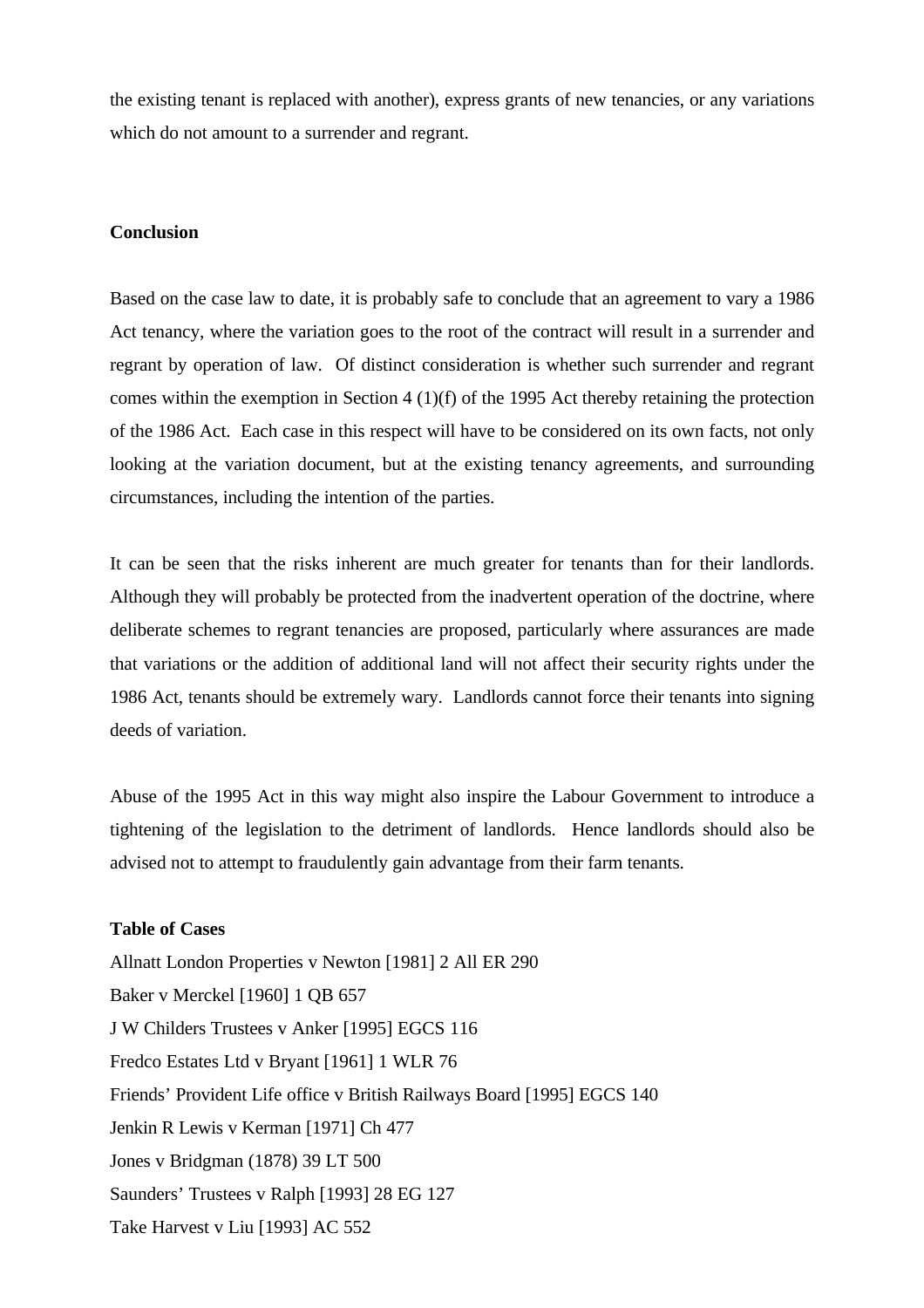the existing tenant is replaced with another), express grants of new tenancies, or any variations which do not amount to a surrender and regrant.

## **Conclusion**

Based on the case law to date, it is probably safe to conclude that an agreement to vary a 1986 Act tenancy, where the variation goes to the root of the contract will result in a surrender and regrant by operation of law. Of distinct consideration is whether such surrender and regrant comes within the exemption in Section 4 (1)(f) of the 1995 Act thereby retaining the protection of the 1986 Act. Each case in this respect will have to be considered on its own facts, not only looking at the variation document, but at the existing tenancy agreements, and surrounding circumstances, including the intention of the parties.

It can be seen that the risks inherent are much greater for tenants than for their landlords. Although they will probably be protected from the inadvertent operation of the doctrine, where deliberate schemes to regrant tenancies are proposed, particularly where assurances are made that variations or the addition of additional land will not affect their security rights under the 1986 Act, tenants should be extremely wary. Landlords cannot force their tenants into signing deeds of variation.

Abuse of the 1995 Act in this way might also inspire the Labour Government to introduce a tightening of the legislation to the detriment of landlords. Hence landlords should also be advised not to attempt to fraudulently gain advantage from their farm tenants.

### **Table of Cases**

Allnatt London Properties v Newton [1981] 2 All ER 290 Baker v Merckel [1960] 1 QB 657 J W Childers Trustees v Anker [1995] EGCS 116 Fredco Estates Ltd v Bryant [1961] 1 WLR 76 Friends' Provident Life office v British Railways Board [1995] EGCS 140 Jenkin R Lewis v Kerman [1971] Ch 477 Jones v Bridgman (1878) 39 LT 500 Saunders' Trustees v Ralph [1993] 28 EG 127 Take Harvest v Liu [1993] AC 552